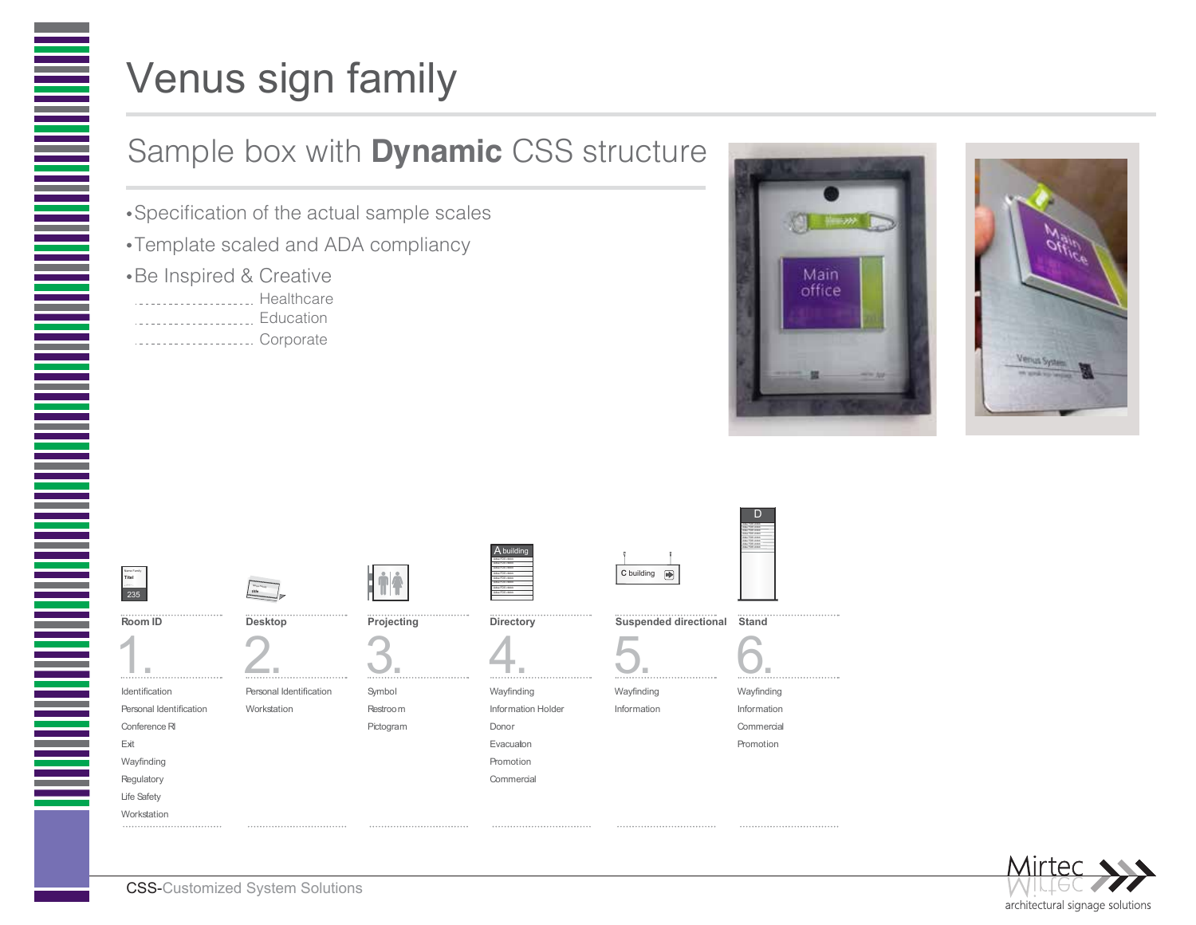

## Venus sign family

## Sample box with **Dynamic** CSS structure

- Specification of the actual sample scales
- Template scaled and ADA compliancy
- Be Inspired & Creative
- ... Healthcare . . . . . . . . . . . . . . . . . . .
- **Education**
- ...................... Corporate







Identification Personal Identification Conference RI Exit Wayfinding **Regulatory** Life Safety **Workstation** 

Personal Identification 1. 2.

Workstation

Nettle F<sub>amily</sub> **title**

| n - - - |  |          |  |
|---------|--|----------|--|
|         |  |          |  |
|         |  | Projecti |  |
|         |  |          |  |

**Linia** 

Symbol Restroom Pictogram



Adse FDS vbbbb Abuilding

Donor Evacuaton Promotion Commercia

Wayfinding Information Holder

Wayfinding Information







Wayfinding Information

> Commercial Promotion





CSS-Customized System Solutions

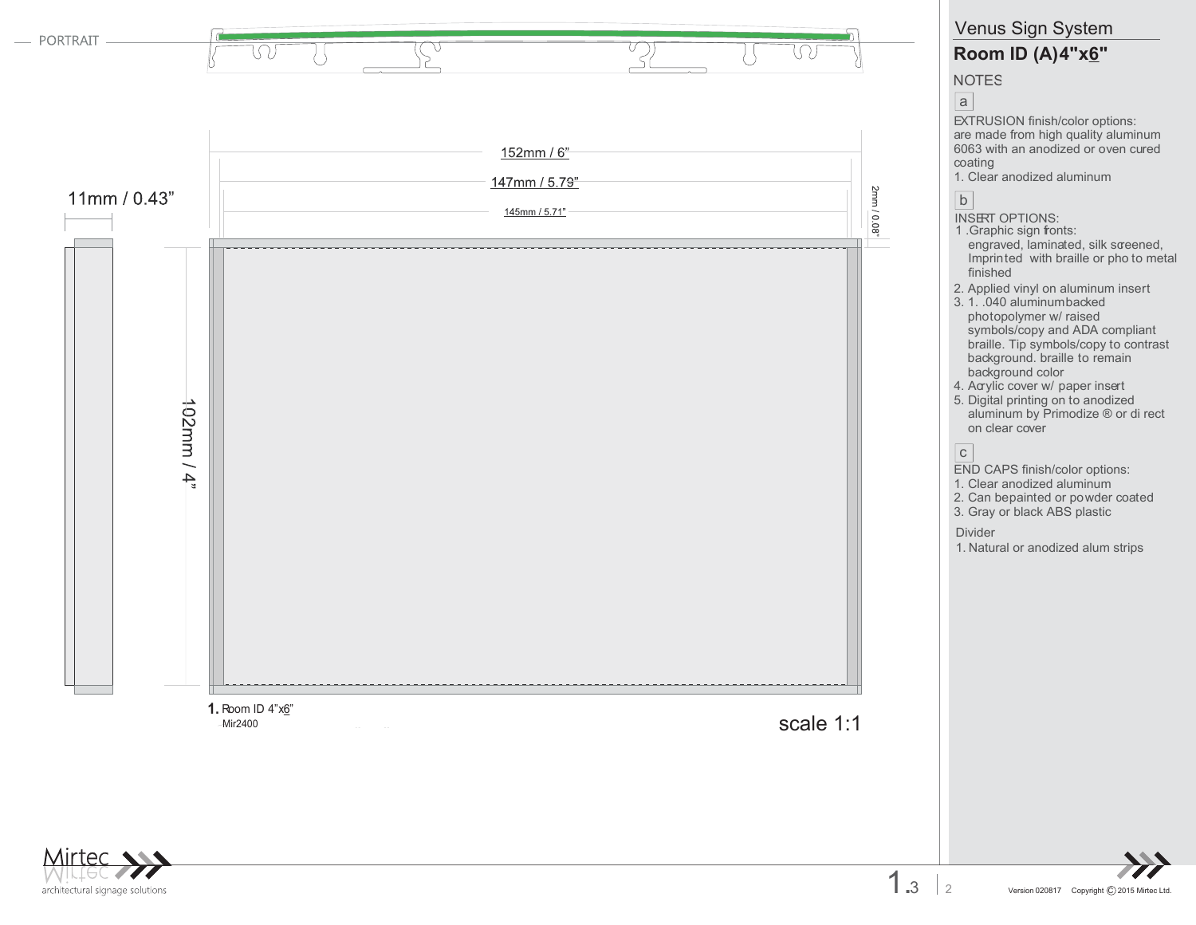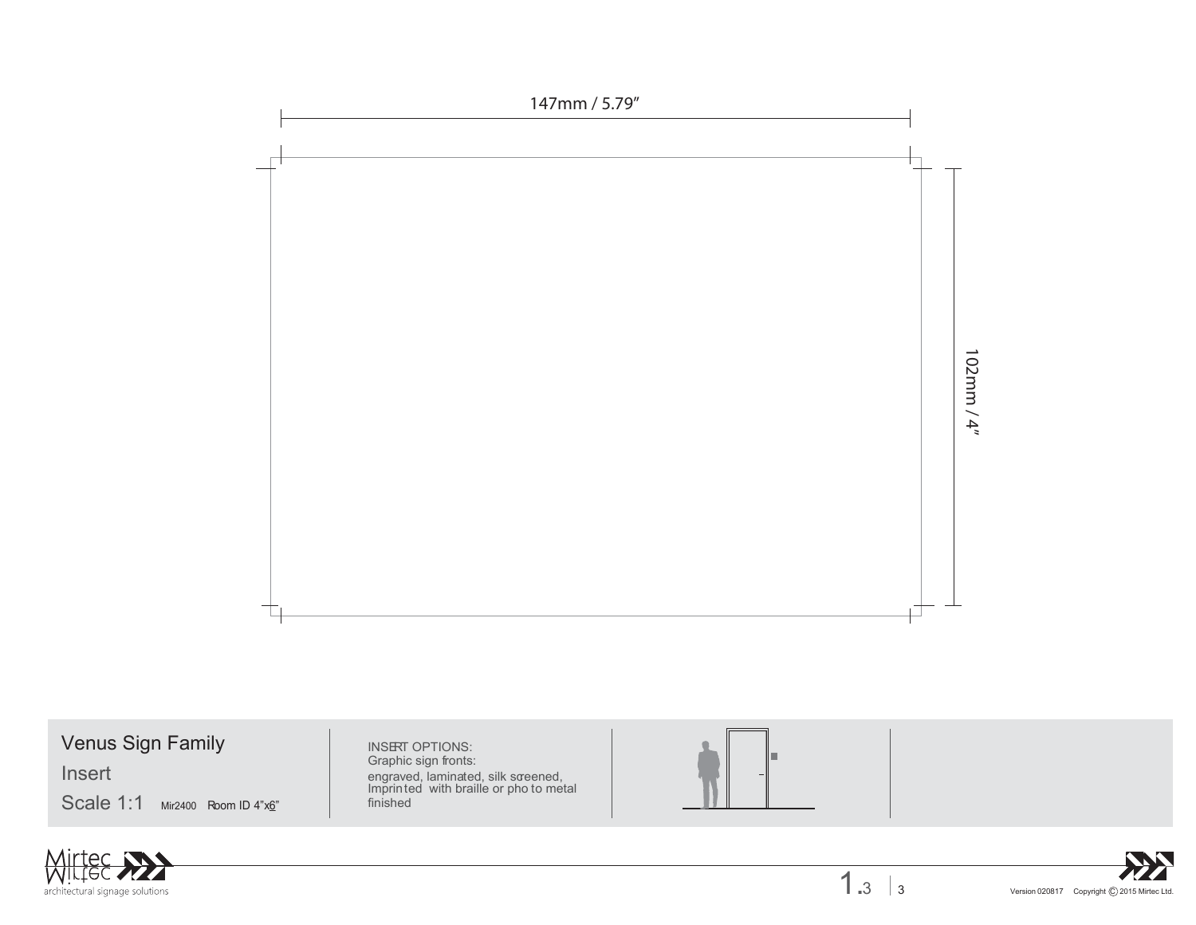

Venus Sign Family **INSERT OPTIONS:** 

Insert

 $Scale 1:1$  Mir2400 Room ID 4" $x_0$ " | finished







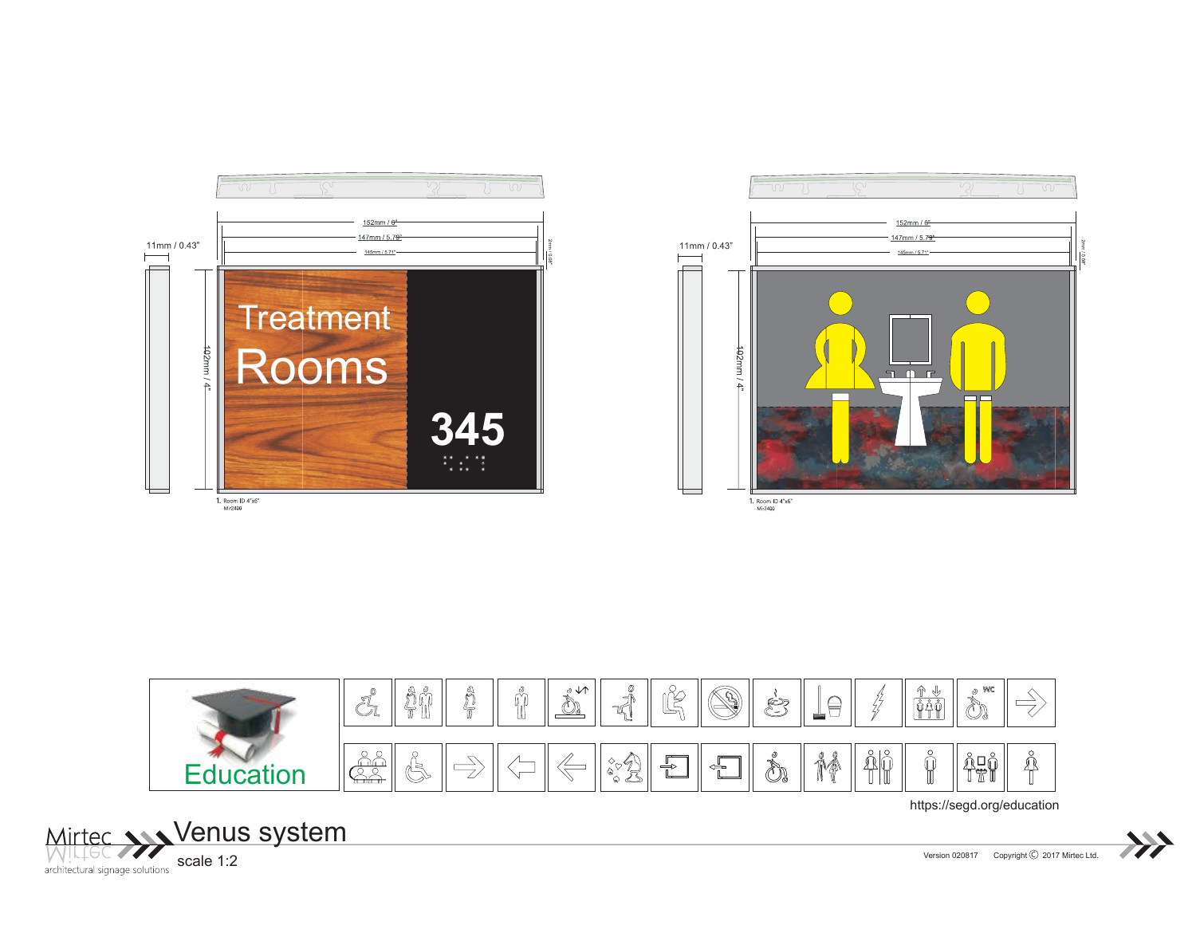





https://segd.org/education



Version 020817 Copyright © 2017 Mirtec Ltd.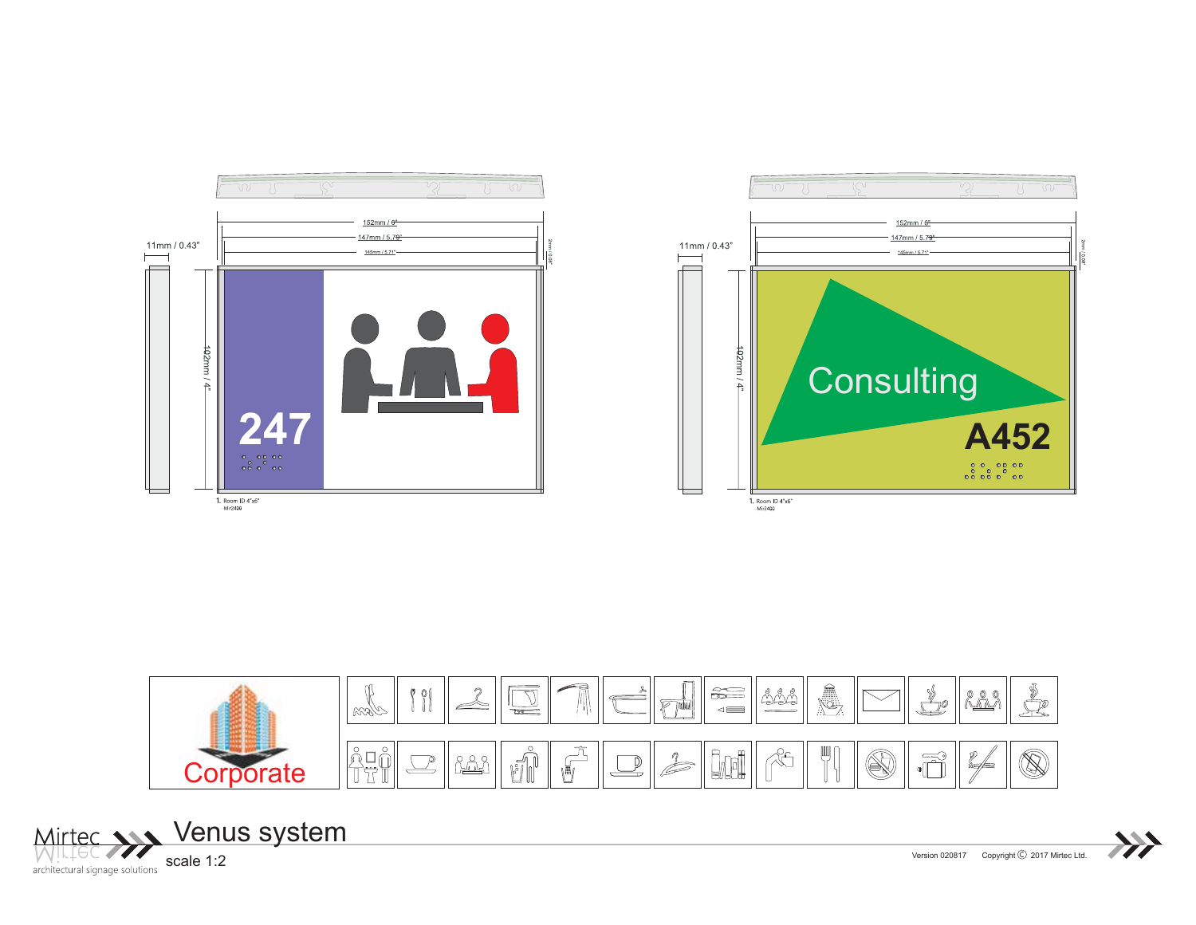